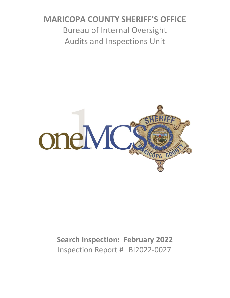# **MARICOPA COUNTY SHERIFF'S OFFICE** Bureau of Internal Oversight Audits and Inspections Unit



# **Search Inspection: February 2022** Inspection Report # BI2022-0027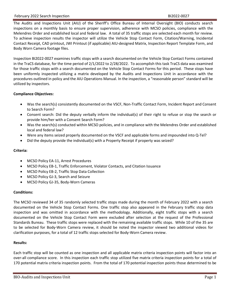#### February 2022 Search Inspection BI2022-0027

The Audits and Inspections Unit (AIU) of the Sheriff's Office Bureau of Internal Oversight (BIO) conducts search inspections on a monthly basis to ensure proper supervision, adherence with MCSO policies, compliance with the Melendres Order and established local and federal law. A total of 35 traffic stops are selected each month for review. To achieve inspection results the inspector will utilize the Vehicle Stop Contact Form, Citation/Warning, Incidental Contact Receipt, CAD printout, JWI Printout (if applicable) AIU-designed Matrix, Inspection Report Template Form, and Body Worn Camera footage files.

Inspection BI2022-0027 examines traffic stops with a search documented on the Vehicle Stop Contact Forms contained in the TraCS database, for the time period of 2/1/2022 to 2/28/2022. To accomplish this task TraCS data was examined for those traffic stops with a search documented on the Vehicle Stop Contact Forms for this period. These stops have been uniformly inspected utilizing a matrix developed by the Audits and Inspections Unit in accordance with the procedures outlined in policy and the AIU Operations Manual. In the inspection, a "reasonable person" standard will be utilized by inspectors.

#### **Compliance Objectives:**

- Was the search(s) consistently documented on the VSCF, Non-Traffic Contact Form, Incident Report and Consent to Search Form?
- Consent search: Did the deputy verbally inform the individual(s) of their right to refuse or stop the search or provide him/her with a Consent Search Form?
- Was the search(s) conducted within MCSO policies, and in compliance with the Melendres Order and established local and federal law?
- Were any items seized properly documented on the VSCF and applicable forms and impounded into Q-Tel?
- Did the deputy provide the individual(s) with a Property Receipt if property was seized?

### **Criteria:**

- MCSO Policy EA-11, Arrest Procedures
- MCSO Policy EB-1, Traffic Enforcement, Violator Contacts, and Citation Issuance
- MCSO Policy EB-2, Traffic Stop Data Collection
- MCSO Policy GJ-3, Search and Seizure
- MCSO Policy GJ-35, Body-Worn Cameras

#### **Conditions:**

The MCSO reviewed 34 of 35 randomly selected traffic stops made during the month of February 2022 with a search documented on the Vehicle Stop Contact Forms. One traffic stop also appeared in the February traffic stop data inspection and was omitted in accordance with the methodology. Additionally, eight traffic stops with a search documented on the Vehicle Stop Contact Form were excluded after selection at the request of the Professional Standards Bureau. These traffic stops were replaced with the remaining available traffic stops. While 10 of the 35 are to be selected for Body-Worn Camera review, it should be noted the inspector viewed two additional videos for clarification purposes, for a total of 12 traffic stops selected for Body-Worn Camera review.

#### **Results:**

Each traffic stop will be counted as one inspection and all applicable matrix criteria inspection points will factor into an over-all compliance score. In this inspection each traffic stop utilized five matrix criteria inspection points for a total of 170 potential matrix criteria inspection points. From the total of 170 potential inspection points those determined to be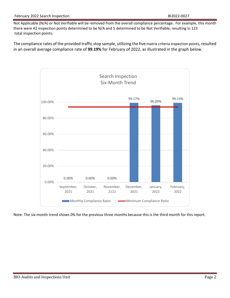#### February 2022 Search Inspection BI2022-0027

Not Applicable (N/A) or Not Verifiable will be removed from the overall compliance percentage. For example, this month there were 42 inspection points determined to be N/A and 5 determined to be Not Verifiable, resulting in 123 total inspection points.

The compliance rates of the provided traffic stop sample, utilizing the five matrix criteria inspection points, resulted in an overall average compliance rate of **99.19%** for February of 2022, as illustrated in the graph below.



Note: The six-month trend shows 0% for the previous three months because this is the third month for this report.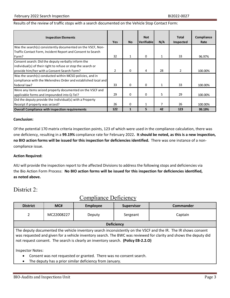#### Results of the review of traffic stops with a search documented on the Vehicle Stop Contact Form:

| <b>Inspection Elements</b>                                    | <b>Yes</b>     | <b>No</b> | <b>Not</b><br>Verifiable | N/A          | <b>Total</b><br>Inspected | Compliance<br>Rate |
|---------------------------------------------------------------|----------------|-----------|--------------------------|--------------|---------------------------|--------------------|
| Was the search(s) consistently documented on the VSCF, Non-   |                |           |                          |              |                           |                    |
| Traffic Contact Form, Incident Report and Consent to Search   |                |           |                          |              |                           |                    |
| Form?                                                         | 32             | 1         | 0                        | 1            | 33                        | 96.97%             |
| Consent search: Did the deputy verbally inform the            |                |           |                          |              |                           |                    |
| individual(s) of their right to refuse or stop the search or  |                |           |                          |              |                           |                    |
| provide him/her with a Consent Search Form?                   | $\overline{2}$ | 0         | 4                        | 28           | $\mathfrak{p}$            | 100.00%            |
| Was the search(s) conducted within MCSO policies, and in      |                |           |                          |              |                           |                    |
| compliance with the Melendres Order and established local and |                |           |                          |              |                           |                    |
| federal law?                                                  | 33             | 0         | 0                        | $\mathbf{1}$ | 33                        | 100.00%            |
| Were any items seized properly documented on the VSCF and     |                |           |                          |              |                           |                    |
| applicable forms and impounded into Q-Tel?                    | 29             | 0         | 0                        | 5            | 29                        | 100.00%            |
| Did the deputy provide the individual(s) with a Property      |                |           |                          |              |                           |                    |
| Receipt if property was seized?                               | 26             | 0         | $\mathbf{1}$             | 7            | 26                        | 100.00%            |
| <b>Overall Compliance with inspection requirements</b>        | 122            | 1         | 5                        | 42           | 123                       | 99.19%             |

#### **Conclusion:**

Of the potential 170 matrix criteria inspection points, 123 of which were used in the compliance calculation, there was one deficiency, resulting in a **99.19%** compliance rate for February 2022**. It should be noted, as this is a new inspection, no BIO action forms will be issued for this inspection for deficiencies identified.** There was one instance of a noncompliance issue.

#### **Action Required:**

AIU will provide the inspection report to the affected Divisions to address the following stops and deficiencies via the Bio Action Form Process: **No BIO action forms will be issued for this inspection for deficiencies identified, as noted above.**

# District 2:

| <b>District</b>                                                                                                | MC#        | Employee | <b>Supervisor</b> | <b>Commander</b> |  |  |  |
|----------------------------------------------------------------------------------------------------------------|------------|----------|-------------------|------------------|--|--|--|
|                                                                                                                | MC22008227 | Deputy   | Sergeant          | Captain          |  |  |  |
| <b>Deficiency</b>                                                                                              |            |          |                   |                  |  |  |  |
| The deputy documented the vehicle inventory search inconsistently on the VSCF and the IR. The IR shows consent |            |          |                   |                  |  |  |  |

# Compliance Deficiency

The deputy documented the vehicle inventory search inconsistently on the VSCF and the IR. The IR shows consent was requested and given for a vehicle inventory search. The BWC was reviewed for clarity and shows the deputy did not request consent. The search is clearly an inventory search. **(Policy EB-2.2.O)**

Inspector Notes:

- Consent was not requested or granted. There was no consent search.
- The deputy has a prior similar deficiency from January.